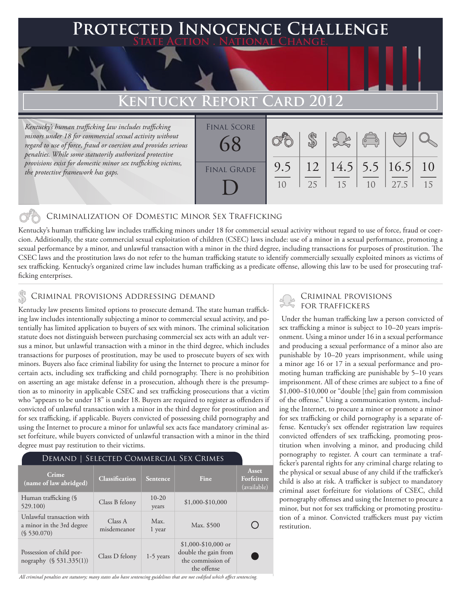### **FED INNOCENCE CHALLENGE State Action . National Change. Kentucky Report Card 2012** *Kentucky's human trafficking law includes trafficking minors under 18 for commercial sexual activity without regard to use of force, fraud or coercion and provides serious*  \$ Final Score 68

10

25

12

9.5

#### Criminalization of Domestic Minor Sex Trafficking

Kentucky's human trafficking law includes trafficking minors under 18 for commercial sexual activity without regard to use of force, fraud or coercion. Additionally, the state commercial sexual exploitation of children (CSEC) laws include: use of a minor in a sexual performance, promoting a sexual performance by a minor, and unlawful transaction with a minor in the third degree, including transactions for purposes of prostitution. The CSEC laws and the prostitution laws do not refer to the human trafficking statute to identify commercially sexually exploited minors as victims of sex trafficking. Kentucky's organized crime law includes human trafficking as a predicate offense, allowing this law to be used for prosecuting trafficking enterprises.

FINAL GRADE

D

### CRIMINAL PROVISIONS ADDRESSING DEMAND<br>FOR TRAFFICKERS & ROBOTRAFFICKERS

*penalties. While some statutorily authorized protective provisions exist for domestic minor sex trafficking victims,* 

*the protective framework has gaps.*

Kentucky law presents limited options to prosecute demand. The state human trafficking law includes intentionally subjecting a minor to commercial sexual activity, and potentially has limited application to buyers of sex with minors. The criminal solicitation statute does not distinguish between purchasing commercial sex acts with an adult versus a minor, but unlawful transaction with a minor in the third degree, which includes transactions for purposes of prostitution, may be used to prosecute buyers of sex with minors. Buyers also face criminal liability for using the Internet to procure a minor for certain acts, including sex trafficking and child pornography. There is no prohibition on asserting an age mistake defense in a prosecution, although there is the presumption as to minority in applicable CSEC and sex trafficking prosecutions that a victim who "appears to be under 18" is under 18. Buyers are required to register as offenders if convicted of unlawful transaction with a minor in the third degree for prostitution and for sex trafficking, if applicable. Buyers convicted of possessing child pornography and using the Internet to procure a minor for unlawful sex acts face mandatory criminal asset forfeiture, while buyers convicted of unlawful transaction with a minor in the third degree must pay restitution to their victims.

| DEMAND   SELECTED COMMERCIAL SEX CRIMES                               |                        |                  |                                                                                  |                                    |
|-----------------------------------------------------------------------|------------------------|------------------|----------------------------------------------------------------------------------|------------------------------------|
| Crime<br>(name of law abridged)                                       | <b>Classification</b>  | Sentence         | Fine                                                                             | Asset<br>Forfeiture<br>(available) |
| Human trafficking (§<br>529.100)                                      | Class B felony         | $10-20$<br>years | \$1,000-\$10,000                                                                 |                                    |
| Unlawful transaction with<br>a minor in the 3rd degree<br>(S 530.070) | Class A<br>misdemeanor | Max.<br>1 year   | Max. \$500                                                                       |                                    |
| Possession of child por-<br>nography (§ 531.335(1))                   | Class D felony         | $1-5$ years      | $$1,000-\$10,000$ or<br>double the gain from<br>the commission of<br>the offense |                                    |

# Criminal provisions

15

10

27.5

15

10

16.5

5.5

14.5

 Under the human trafficking law a person convicted of sex trafficking a minor is subject to 10–20 years imprisonment. Using a minor under 16 in a sexual performance and producing a sexual performance of a minor also are punishable by 10–20 years imprisonment, while using a minor age 16 or 17 in a sexual performance and promoting human trafficking are punishable by 5–10 years imprisonment. All of these crimes are subject to a fine of \$1,000–\$10,000 or "double [the] gain from commission of the offense." Using a communication system, including the Internet, to procure a minor or promote a minor for sex trafficking or child pornography is a separate offense. Kentucky's sex offender registration law requires convicted offenders of sex trafficking, promoting prostitution when involving a minor, and producing child pornography to register. A court can terminate a trafficker's parental rights for any criminal charge relating to the physical or sexual abuse of any child if the trafficker's child is also at risk. A trafficker is subject to mandatory criminal asset forfeiture for violations of CSEC, child pornography offenses and using the Internet to procure a minor, but not for sex trafficking or promoting prostitution of a minor. Convicted traffickers must pay victim restitution.

*All criminal penalties are statutory; many states also have sentencing guidelines that are not codified which affect sentencing.*